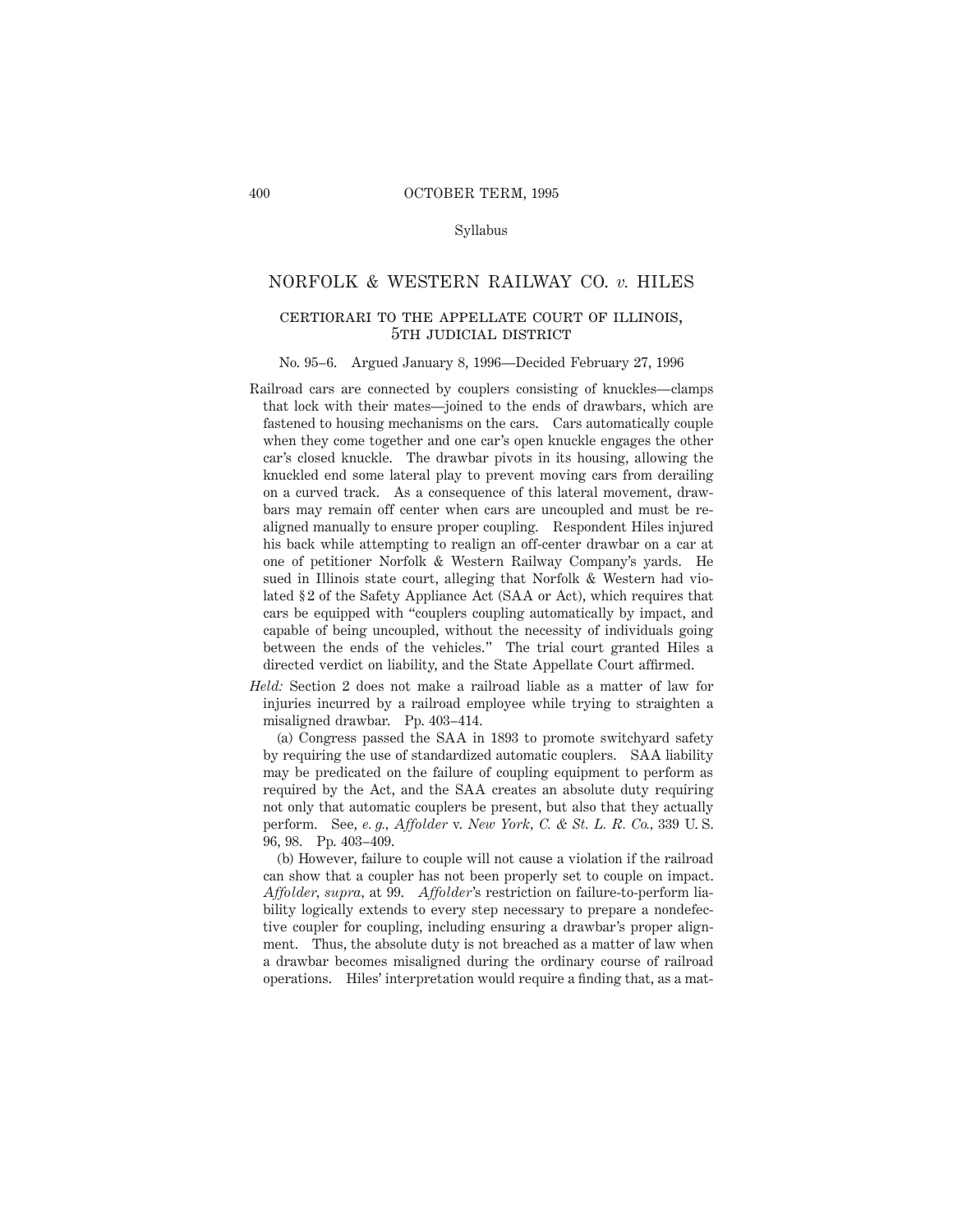#### Syllabus

# NORFOLK & WESTERN RAILWAY CO. *v.* HILES

# certiorari to the appellate court of illinois, 5TH JUDICIAL DISTRICT

#### No. 95–6. Argued January 8, 1996—Decided February 27, 1996

Railroad cars are connected by couplers consisting of knuckles—clamps that lock with their mates—joined to the ends of drawbars, which are fastened to housing mechanisms on the cars. Cars automatically couple when they come together and one car's open knuckle engages the other car's closed knuckle. The drawbar pivots in its housing, allowing the knuckled end some lateral play to prevent moving cars from derailing on a curved track. As a consequence of this lateral movement, drawbars may remain off center when cars are uncoupled and must be realigned manually to ensure proper coupling. Respondent Hiles injured his back while attempting to realign an off-center drawbar on a car at one of petitioner Norfolk & Western Railway Company's yards. He sued in Illinois state court, alleging that Norfolk & Western had violated § 2 of the Safety Appliance Act (SAA or Act), which requires that cars be equipped with "couplers coupling automatically by impact, and capable of being uncoupled, without the necessity of individuals going between the ends of the vehicles." The trial court granted Hiles a directed verdict on liability, and the State Appellate Court affirmed.

*Held:* Section 2 does not make a railroad liable as a matter of law for injuries incurred by a railroad employee while trying to straighten a misaligned drawbar. Pp. 403–414.

(a) Congress passed the SAA in 1893 to promote switchyard safety by requiring the use of standardized automatic couplers. SAA liability may be predicated on the failure of coupling equipment to perform as required by the Act, and the SAA creates an absolute duty requiring not only that automatic couplers be present, but also that they actually perform. See, *e. g., Affolder* v. *New York, C. & St. L. R. Co.,* 339 U. S. 96, 98. Pp. 403–409.

(b) However, failure to couple will not cause a violation if the railroad can show that a coupler has not been properly set to couple on impact. *Affolder, supra,* at 99. *Affolder*'s restriction on failure-to-perform liability logically extends to every step necessary to prepare a nondefective coupler for coupling, including ensuring a drawbar's proper alignment. Thus, the absolute duty is not breached as a matter of law when a drawbar becomes misaligned during the ordinary course of railroad operations. Hiles' interpretation would require a finding that, as a mat-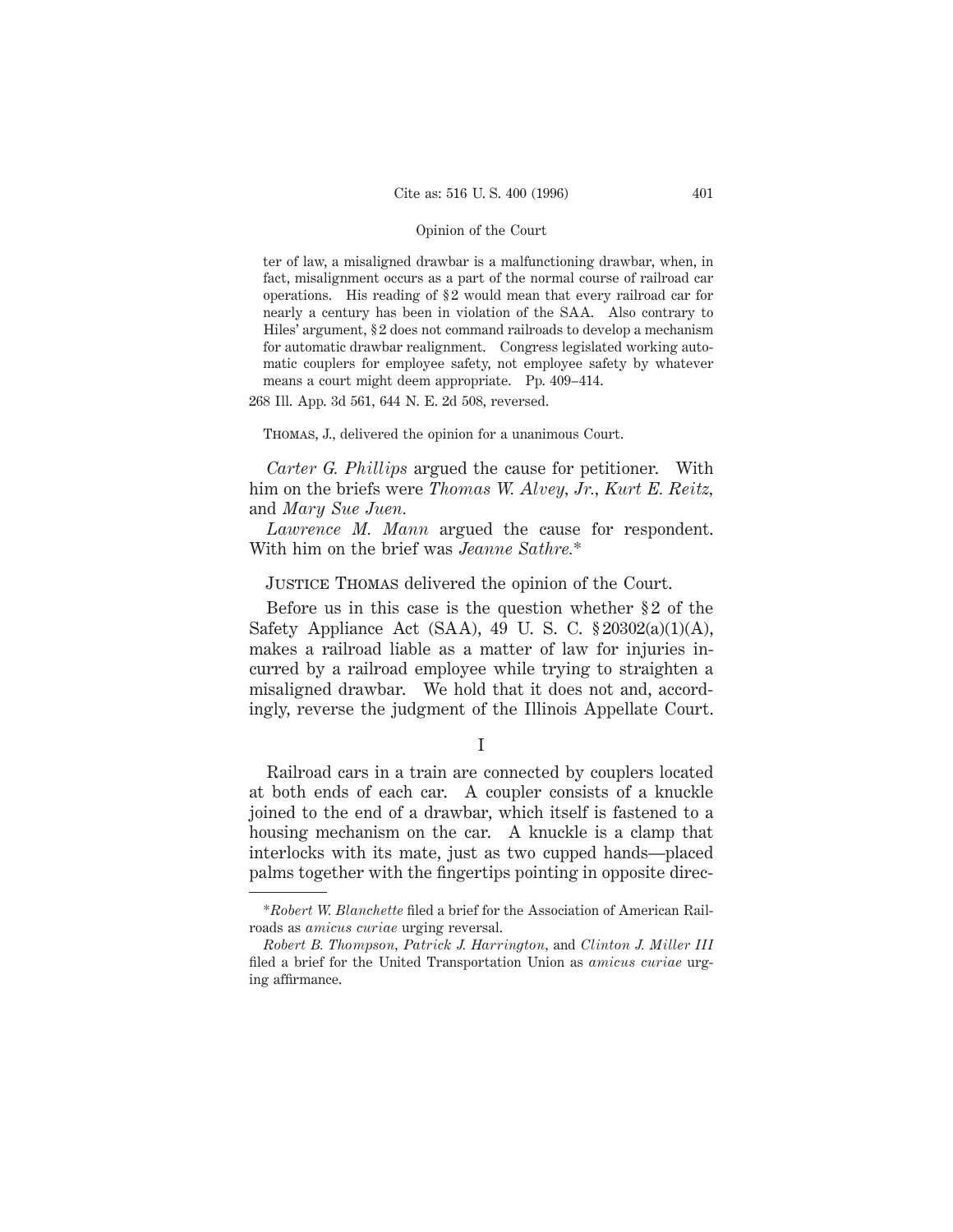ter of law, a misaligned drawbar is a malfunctioning drawbar, when, in fact, misalignment occurs as a part of the normal course of railroad car operations. His reading of § 2 would mean that every railroad car for nearly a century has been in violation of the SAA. Also contrary to Hiles' argument, § 2 does not command railroads to develop a mechanism for automatic drawbar realignment. Congress legislated working automatic couplers for employee safety, not employee safety by whatever means a court might deem appropriate. Pp. 409–414.

268 Ill. App. 3d 561, 644 N. E. 2d 508, reversed.

# Thomas, J., delivered the opinion for a unanimous Court.

*Carter G. Phillips* argued the cause for petitioner. With him on the briefs were *Thomas W. Alvey, Jr., Kurt E. Reitz,* and *Mary Sue Juen.*

*Lawrence M. Mann* argued the cause for respondent. With him on the brief was *Jeanne Sathre.*\*

# Justice Thomas delivered the opinion of the Court.

Before us in this case is the question whether  $\S 2$  of the Safety Appliance Act (SAA), 49 U. S. C. § 20302(a)(1)(A), makes a railroad liable as a matter of law for injuries incurred by a railroad employee while trying to straighten a misaligned drawbar. We hold that it does not and, accordingly, reverse the judgment of the Illinois Appellate Court.

#### I

Railroad cars in a train are connected by couplers located at both ends of each car. A coupler consists of a knuckle joined to the end of a drawbar, which itself is fastened to a housing mechanism on the car. A knuckle is a clamp that interlocks with its mate, just as two cupped hands—placed palms together with the fingertips pointing in opposite direc-

<sup>\*</sup>*Robert W. Blanchette* filed a brief for the Association of American Railroads as *amicus curiae* urging reversal.

*Robert B. Thompson, Patrick J. Harrington,* and *Clinton J. Miller III* filed a brief for the United Transportation Union as *amicus curiae* urging affirmance.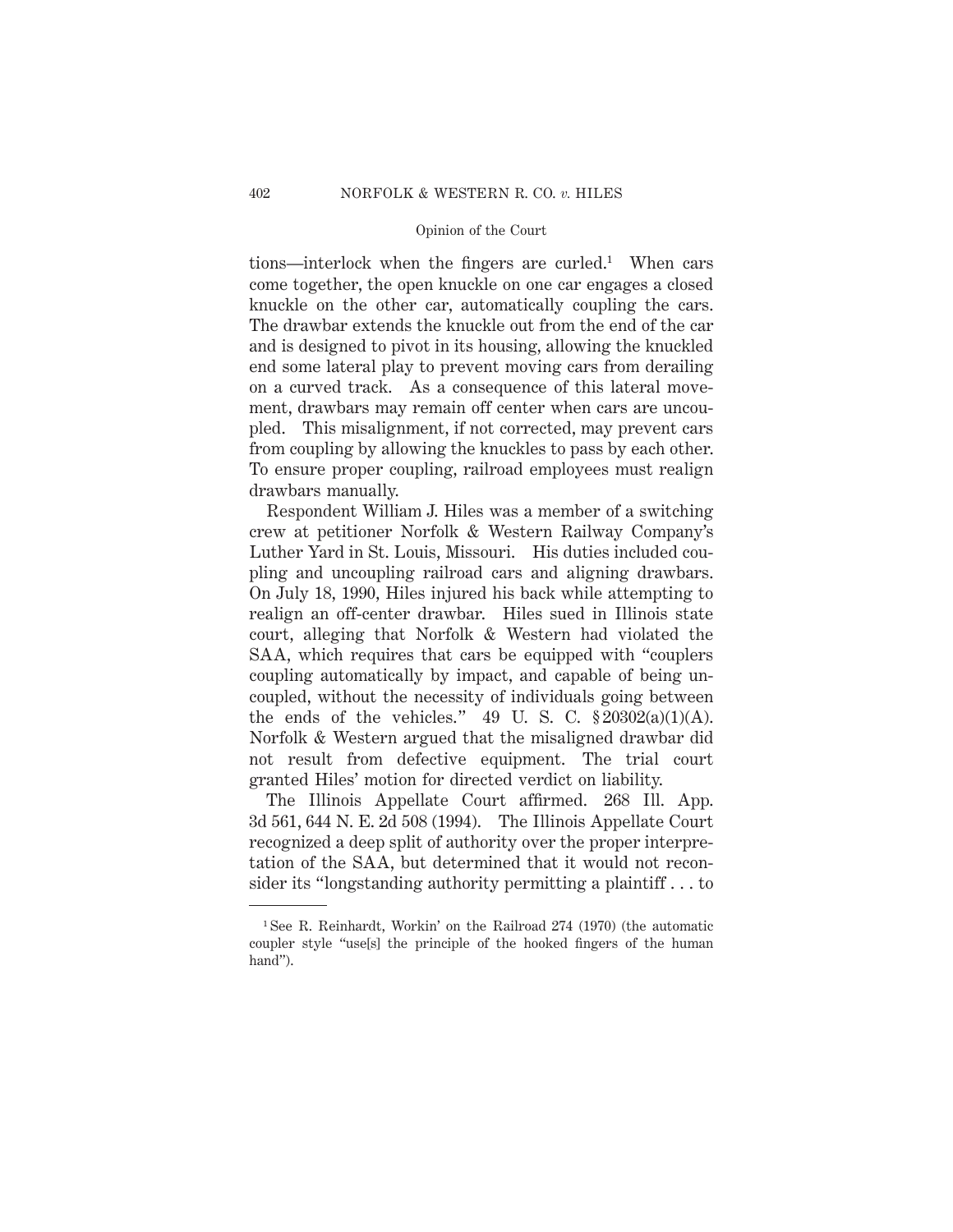tions—interlock when the fingers are curled.1 When cars come together, the open knuckle on one car engages a closed knuckle on the other car, automatically coupling the cars. The drawbar extends the knuckle out from the end of the car and is designed to pivot in its housing, allowing the knuckled end some lateral play to prevent moving cars from derailing on a curved track. As a consequence of this lateral movement, drawbars may remain off center when cars are uncoupled. This misalignment, if not corrected, may prevent cars from coupling by allowing the knuckles to pass by each other. To ensure proper coupling, railroad employees must realign drawbars manually.

Respondent William J. Hiles was a member of a switching crew at petitioner Norfolk & Western Railway Company's Luther Yard in St. Louis, Missouri. His duties included coupling and uncoupling railroad cars and aligning drawbars. On July 18, 1990, Hiles injured his back while attempting to realign an off-center drawbar. Hiles sued in Illinois state court, alleging that Norfolk & Western had violated the SAA, which requires that cars be equipped with "couplers coupling automatically by impact, and capable of being uncoupled, without the necessity of individuals going between the ends of the vehicles." 49 U.S. C.  $\S 20302(a)(1)(A)$ . Norfolk & Western argued that the misaligned drawbar did not result from defective equipment. The trial court granted Hiles' motion for directed verdict on liability.

The Illinois Appellate Court affirmed. 268 Ill. App. 3d 561, 644 N. E. 2d 508 (1994). The Illinois Appellate Court recognized a deep split of authority over the proper interpretation of the SAA, but determined that it would not reconsider its "longstanding authority permitting a plaintiff . . . to

<sup>1</sup> See R. Reinhardt, Workin' on the Railroad 274 (1970) (the automatic coupler style "use[s] the principle of the hooked fingers of the human hand").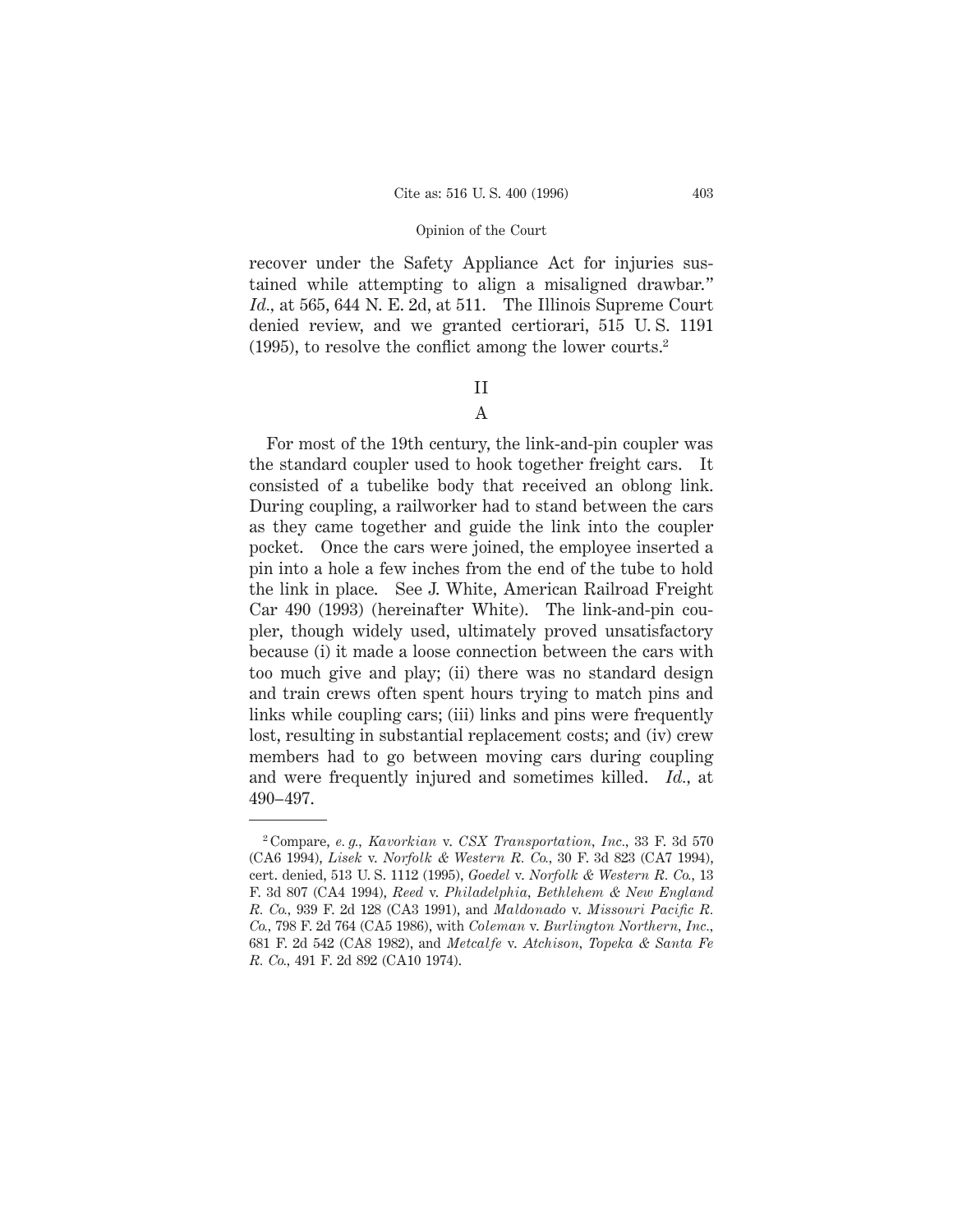recover under the Safety Appliance Act for injuries sustained while attempting to align a misaligned drawbar." *Id.,* at 565, 644 N. E. 2d, at 511. The Illinois Supreme Court denied review, and we granted certiorari, 515 U. S. 1191 (1995), to resolve the conflict among the lower courts.2

# II

# A

For most of the 19th century, the link-and-pin coupler was the standard coupler used to hook together freight cars. It consisted of a tubelike body that received an oblong link. During coupling, a railworker had to stand between the cars as they came together and guide the link into the coupler pocket. Once the cars were joined, the employee inserted a pin into a hole a few inches from the end of the tube to hold the link in place. See J. White, American Railroad Freight Car 490 (1993) (hereinafter White). The link-and-pin coupler, though widely used, ultimately proved unsatisfactory because (i) it made a loose connection between the cars with too much give and play; (ii) there was no standard design and train crews often spent hours trying to match pins and links while coupling cars; (iii) links and pins were frequently lost, resulting in substantial replacement costs; and (iv) crew members had to go between moving cars during coupling and were frequently injured and sometimes killed. *Id.,* at 490–497.

<sup>2</sup> Compare, *e. g., Kavorkian* v. *CSX Transportation, Inc.,* 33 F. 3d 570 (CA6 1994), *Lisek* v. *Norfolk & Western R. Co.,* 30 F. 3d 823 (CA7 1994), cert. denied, 513 U. S. 1112 (1995), *Goedel* v. *Norfolk & Western R. Co.,* 13 F. 3d 807 (CA4 1994), *Reed* v. *Philadelphia, Bethlehem & New England R. Co.,* 939 F. 2d 128 (CA3 1991), and *Maldonado* v. *Missouri Pacific R. Co.,* 798 F. 2d 764 (CA5 1986), with *Coleman* v. *Burlington Northern, Inc.,* 681 F. 2d 542 (CA8 1982), and *Metcalfe* v. *Atchison, Topeka & Santa Fe R. Co.,* 491 F. 2d 892 (CA10 1974).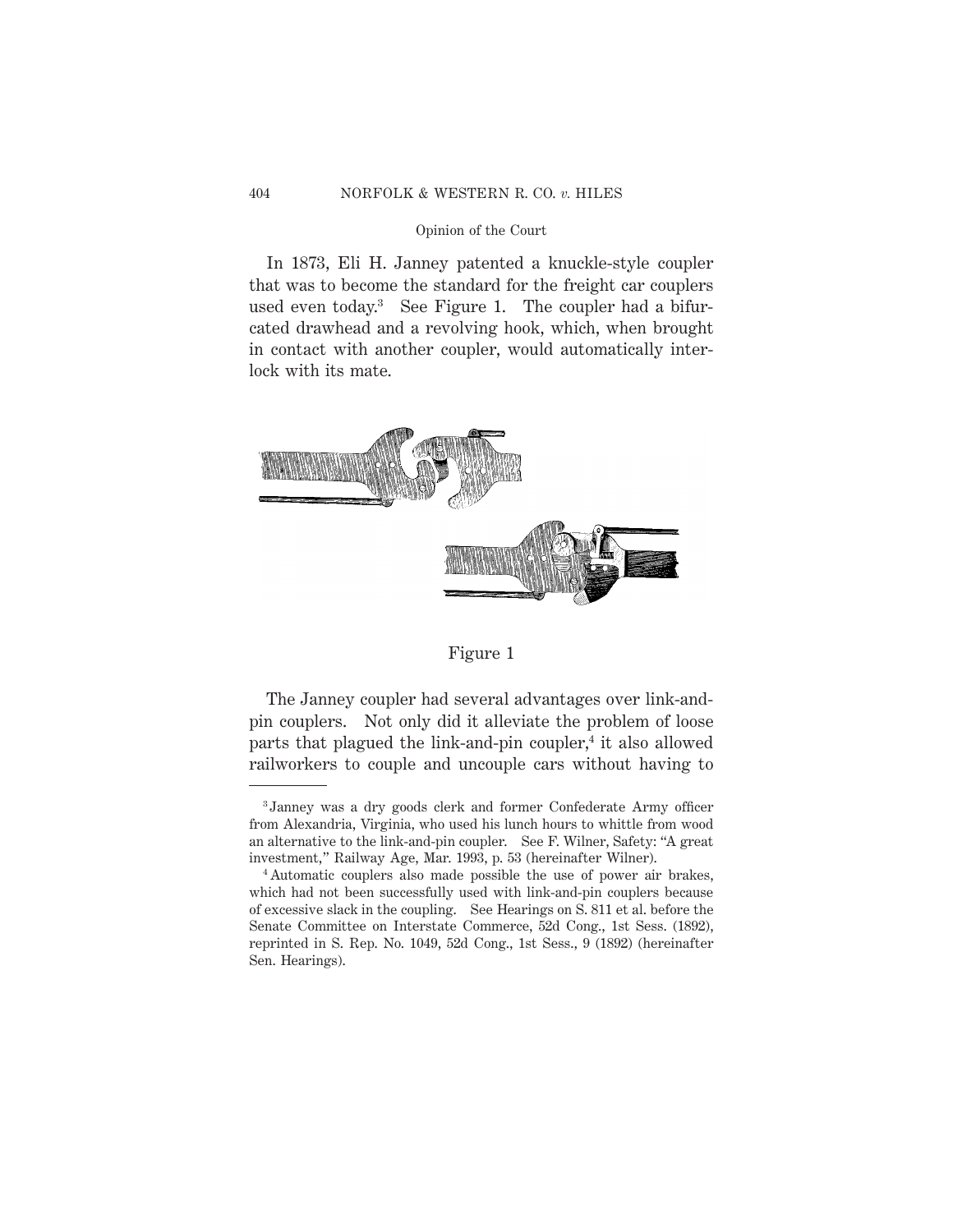In 1873, Eli H. Janney patented a knuckle-style coupler that was to become the standard for the freight car couplers used even today.3 See Figure 1. The coupler had a bifurcated drawhead and a revolving hook, which, when brought in contact with another coupler, would automatically interlock with its mate.



Figure 1

The Janney coupler had several advantages over link-andpin couplers. Not only did it alleviate the problem of loose parts that plagued the link-and-pin coupler, $4$  it also allowed railworkers to couple and uncouple cars without having to

<sup>3</sup> Janney was a dry goods clerk and former Confederate Army officer from Alexandria, Virginia, who used his lunch hours to whittle from wood an alternative to the link-and-pin coupler. See F. Wilner, Safety: "A great investment," Railway Age, Mar. 1993, p. 53 (hereinafter Wilner).

<sup>4</sup> Automatic couplers also made possible the use of power air brakes, which had not been successfully used with link-and-pin couplers because of excessive slack in the coupling. See Hearings on S. 811 et al. before the Senate Committee on Interstate Commerce, 52d Cong., 1st Sess. (1892), reprinted in S. Rep. No. 1049, 52d Cong., 1st Sess., 9 (1892) (hereinafter Sen. Hearings).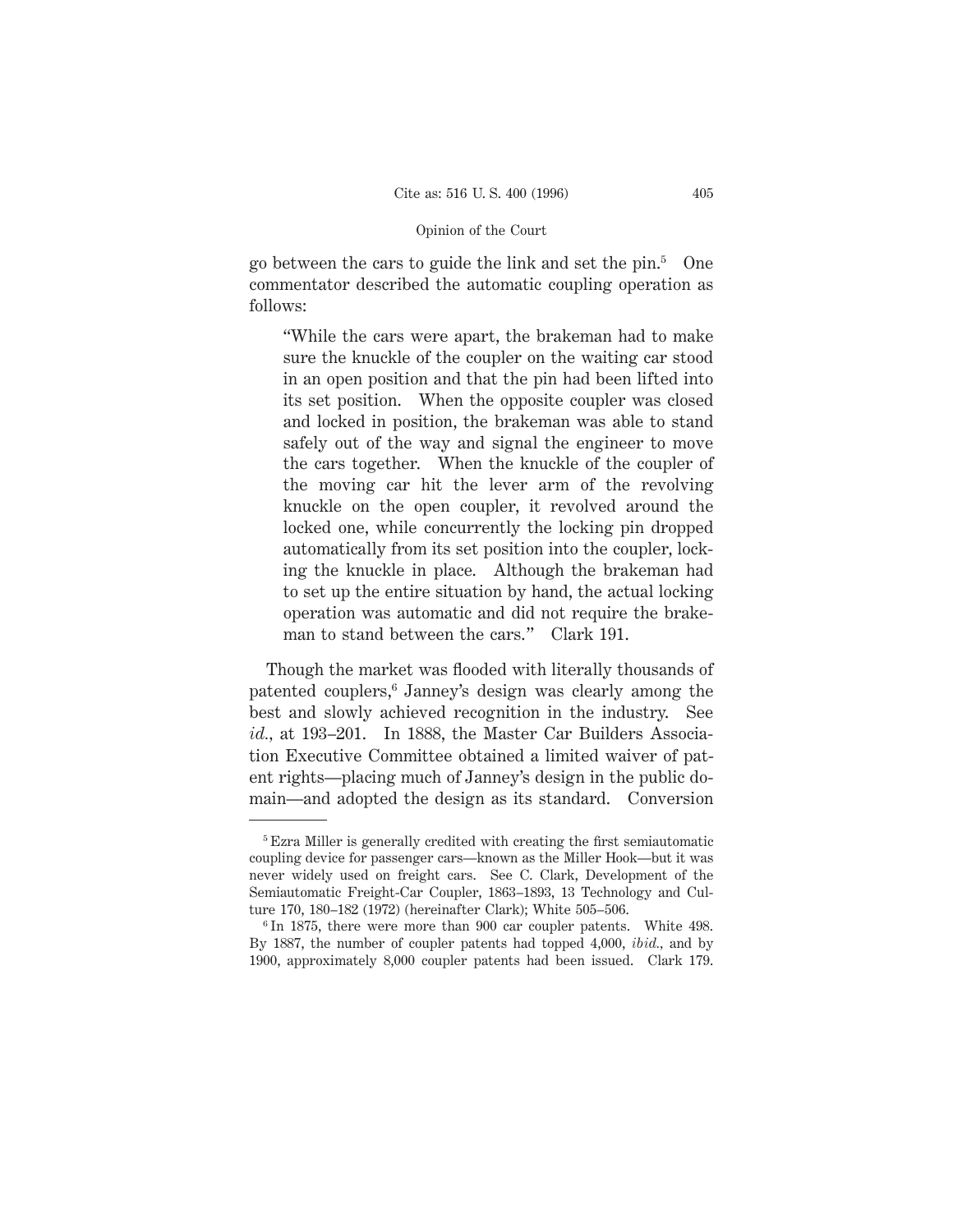go between the cars to guide the link and set the pin.5 One commentator described the automatic coupling operation as follows:

"While the cars were apart, the brakeman had to make sure the knuckle of the coupler on the waiting car stood in an open position and that the pin had been lifted into its set position. When the opposite coupler was closed and locked in position, the brakeman was able to stand safely out of the way and signal the engineer to move the cars together. When the knuckle of the coupler of the moving car hit the lever arm of the revolving knuckle on the open coupler, it revolved around the locked one, while concurrently the locking pin dropped automatically from its set position into the coupler, locking the knuckle in place. Although the brakeman had to set up the entire situation by hand, the actual locking operation was automatic and did not require the brakeman to stand between the cars." Clark 191.

Though the market was flooded with literally thousands of patented couplers,<sup>6</sup> Janney's design was clearly among the best and slowly achieved recognition in the industry. See *id.,* at 193–201. In 1888, the Master Car Builders Association Executive Committee obtained a limited waiver of patent rights—placing much of Janney's design in the public domain—and adopted the design as its standard. Conversion

<sup>5</sup> Ezra Miller is generally credited with creating the first semiautomatic coupling device for passenger cars—known as the Miller Hook—but it was never widely used on freight cars. See C. Clark, Development of the Semiautomatic Freight-Car Coupler, 1863–1893, 13 Technology and Culture 170, 180–182 (1972) (hereinafter Clark); White 505–506.

<sup>6</sup> In 1875, there were more than 900 car coupler patents. White 498. By 1887, the number of coupler patents had topped 4,000, *ibid.,* and by 1900, approximately 8,000 coupler patents had been issued. Clark 179.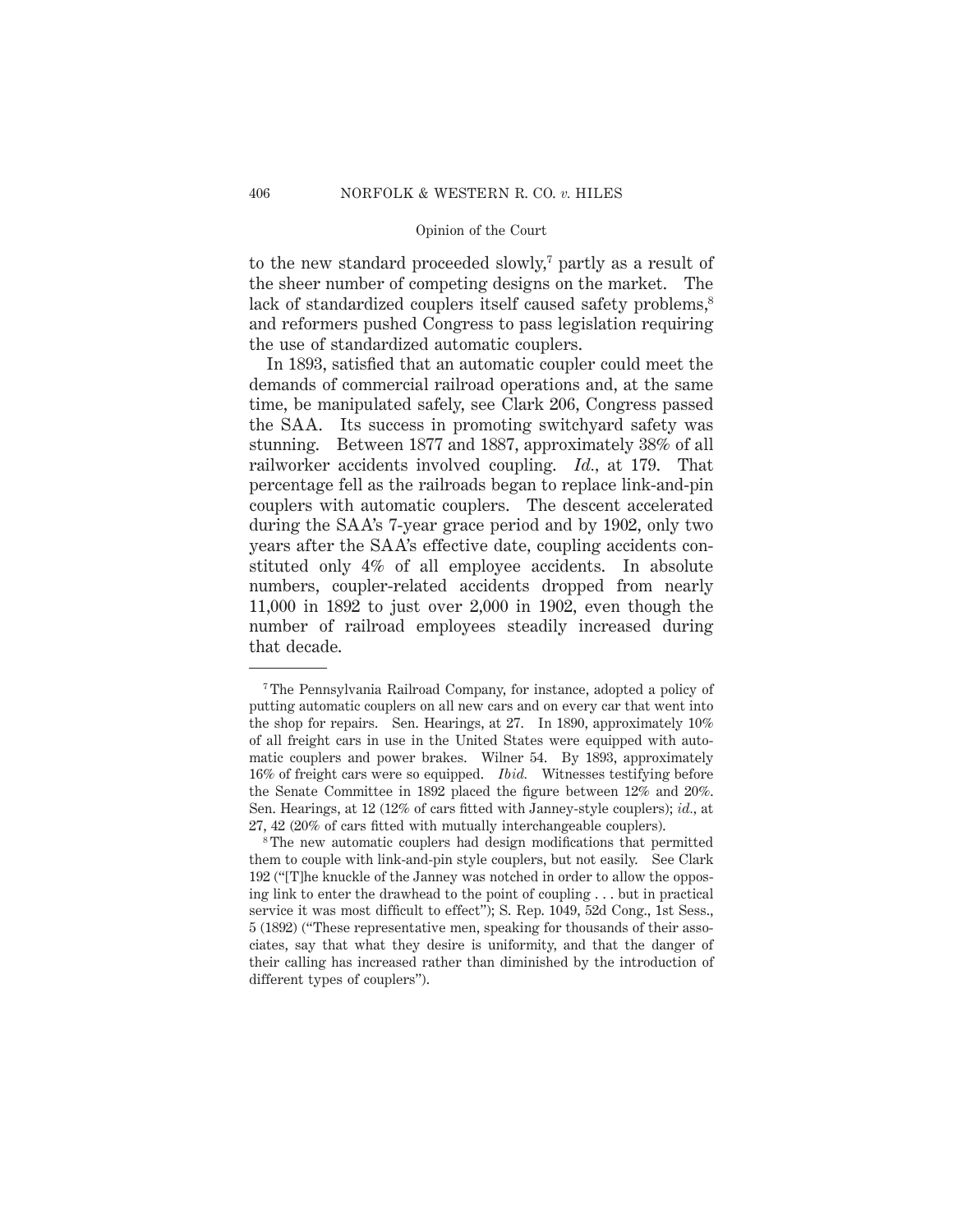to the new standard proceeded slowly,<sup>7</sup> partly as a result of the sheer number of competing designs on the market. The lack of standardized couplers itself caused safety problems,<sup>8</sup> and reformers pushed Congress to pass legislation requiring the use of standardized automatic couplers.

In 1893, satisfied that an automatic coupler could meet the demands of commercial railroad operations and, at the same time, be manipulated safely, see Clark 206, Congress passed the SAA. Its success in promoting switchyard safety was stunning. Between 1877 and 1887, approximately 38% of all railworker accidents involved coupling. *Id.,* at 179. That percentage fell as the railroads began to replace link-and-pin couplers with automatic couplers. The descent accelerated during the SAA's 7-year grace period and by 1902, only two years after the SAA's effective date, coupling accidents constituted only 4% of all employee accidents. In absolute numbers, coupler-related accidents dropped from nearly 11,000 in 1892 to just over 2,000 in 1902, even though the number of railroad employees steadily increased during that decade.

<sup>7</sup> The Pennsylvania Railroad Company, for instance, adopted a policy of putting automatic couplers on all new cars and on every car that went into the shop for repairs. Sen. Hearings, at 27. In 1890, approximately 10% of all freight cars in use in the United States were equipped with automatic couplers and power brakes. Wilner 54. By 1893, approximately 16% of freight cars were so equipped. *Ibid.* Witnesses testifying before the Senate Committee in 1892 placed the figure between 12% and 20%. Sen. Hearings, at 12 (12% of cars fitted with Janney-style couplers); *id.,* at 27, 42 (20% of cars fitted with mutually interchangeable couplers).

<sup>8</sup> The new automatic couplers had design modifications that permitted them to couple with link-and-pin style couplers, but not easily. See Clark 192 ("[T]he knuckle of the Janney was notched in order to allow the opposing link to enter the drawhead to the point of coupling . . . but in practical service it was most difficult to effect"); S. Rep. 1049, 52d Cong., 1st Sess., 5 (1892) ("These representative men, speaking for thousands of their associates, say that what they desire is uniformity, and that the danger of their calling has increased rather than diminished by the introduction of different types of couplers").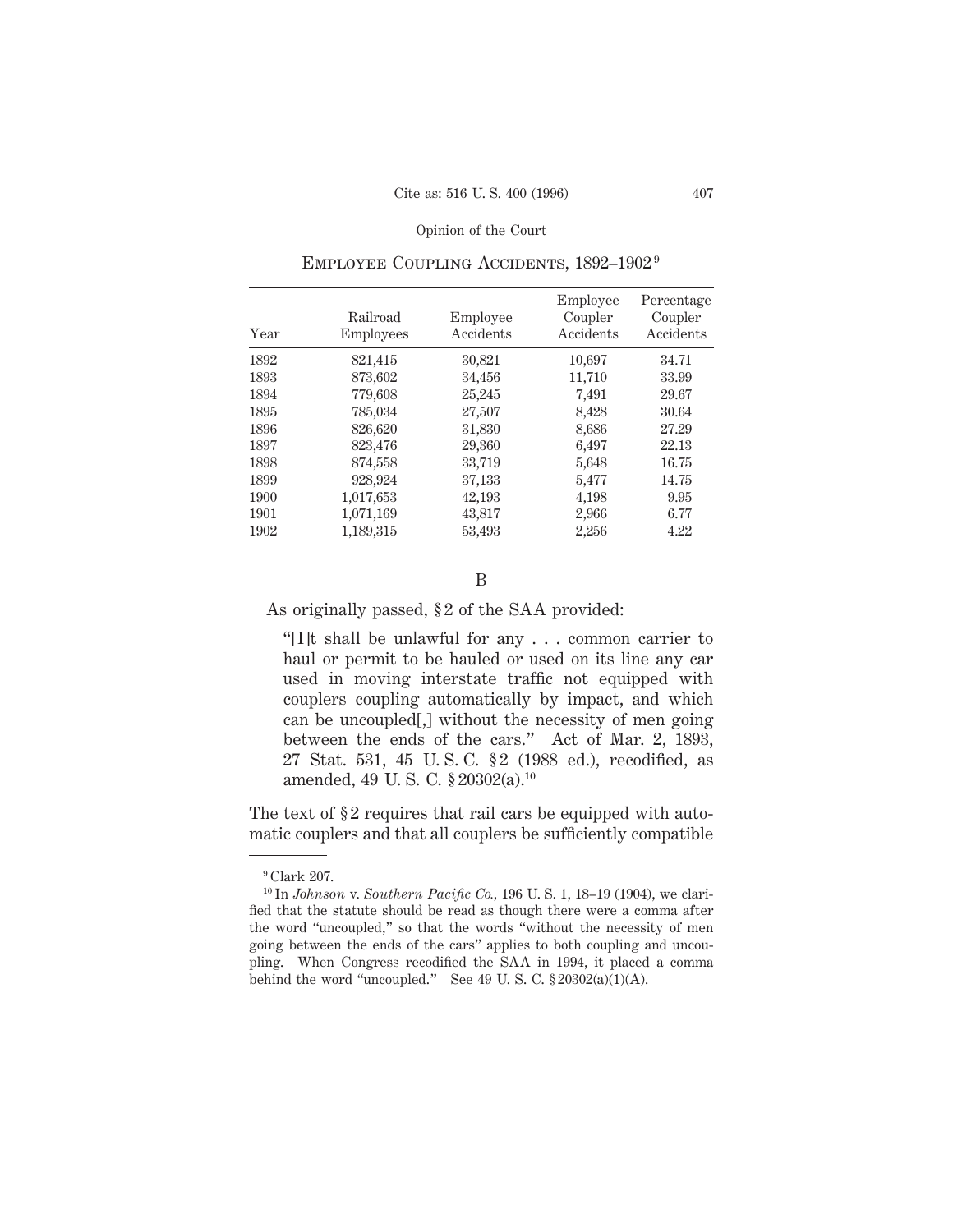| Year | Railroad<br>Employees | Employee<br>Accidents | Employee<br>Coupler<br>Accidents | Percentage<br>Coupler<br>Accidents |
|------|-----------------------|-----------------------|----------------------------------|------------------------------------|
| 1892 | 821,415               | 30,821                | 10,697                           | 34.71                              |
| 1893 | 873,602               | 34,456                | 11,710                           | 33.99                              |
| 1894 | 779,608               | 25,245                | 7,491                            | 29.67                              |
| 1895 | 785,034               | 27,507                | 8,428                            | 30.64                              |
| 1896 | 826,620               | 31,830                | 8,686                            | 27.29                              |
| 1897 | 823,476               | 29,360                | 6,497                            | 22.13                              |
| 1898 | 874,558               | 33,719                | 5,648                            | 16.75                              |
| 1899 | 928,924               | 37,133                | 5,477                            | 14.75                              |
| 1900 | 1,017,653             | 42,193                | 4,198                            | 9.95                               |
| 1901 | 1,071,169             | 43,817                | 2,966                            | 6.77                               |
| 1902 | 1,189,315             | 53,493                | 2,256                            | 4.22                               |

# Employee Coupling Accidents, 1892–1902 9

B

As originally passed, § 2 of the SAA provided:

"[I]t shall be unlawful for any... common carrier to haul or permit to be hauled or used on its line any car used in moving interstate traffic not equipped with couplers coupling automatically by impact, and which can be uncoupled[,] without the necessity of men going between the ends of the cars." Act of Mar. 2, 1893, 27 Stat. 531, 45 U. S. C. § 2 (1988 ed.), recodified, as amended, 49 U. S. C. § 20302(a).10

The text of §2 requires that rail cars be equipped with automatic couplers and that all couplers be sufficiently compatible

<sup>9</sup> Clark 207.

<sup>10</sup> In *Johnson* v. *Southern Pacific Co.,* 196 U. S. 1, 18–19 (1904), we clarified that the statute should be read as though there were a comma after the word "uncoupled," so that the words "without the necessity of men going between the ends of the cars" applies to both coupling and uncoupling. When Congress recodified the SAA in 1994, it placed a comma behind the word "uncoupled." See 49 U.S. C.  $$20302(a)(1)(A)$ .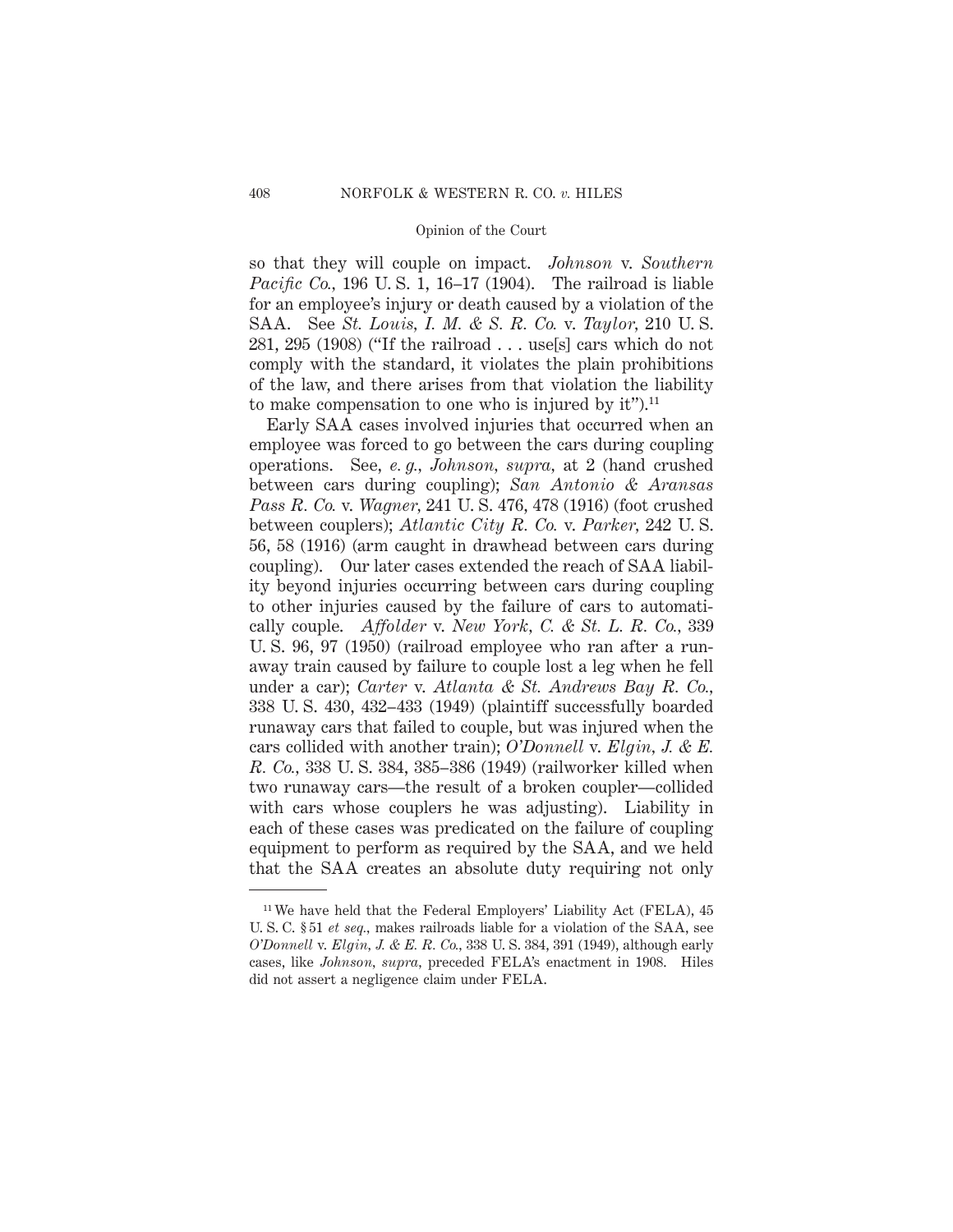so that they will couple on impact. *Johnson* v. *Southern Pacific Co.,* 196 U. S. 1, 16–17 (1904). The railroad is liable for an employee's injury or death caused by a violation of the SAA. See *St. Louis, I. M. & S. R. Co.* v. *Taylor,* 210 U. S. 281, 295 (1908) ("If the railroad... use[s] cars which do not comply with the standard, it violates the plain prohibitions of the law, and there arises from that violation the liability to make compensation to one who is injured by it").<sup>11</sup>

Early SAA cases involved injuries that occurred when an employee was forced to go between the cars during coupling operations. See, *e. g., Johnson, supra,* at 2 (hand crushed between cars during coupling); *San Antonio & Aransas Pass R. Co.* v. *Wagner,* 241 U. S. 476, 478 (1916) (foot crushed between couplers); *Atlantic City R. Co.* v. *Parker,* 242 U. S. 56, 58 (1916) (arm caught in drawhead between cars during coupling). Our later cases extended the reach of SAA liability beyond injuries occurring between cars during coupling to other injuries caused by the failure of cars to automatically couple. *Affolder* v. *New York, C. & St. L. R. Co.,* 339 U. S. 96, 97 (1950) (railroad employee who ran after a runaway train caused by failure to couple lost a leg when he fell under a car); *Carter* v. *Atlanta & St. Andrews Bay R. Co.,* 338 U. S. 430, 432–433 (1949) (plaintiff successfully boarded runaway cars that failed to couple, but was injured when the cars collided with another train); *O'Donnell* v. *Elgin, J. & E. R. Co.,* 338 U. S. 384, 385–386 (1949) (railworker killed when two runaway cars—the result of a broken coupler—collided with cars whose couplers he was adjusting). Liability in each of these cases was predicated on the failure of coupling equipment to perform as required by the SAA, and we held that the SAA creates an absolute duty requiring not only

<sup>&</sup>lt;sup>11</sup> We have held that the Federal Employers' Liability Act (FELA), 45 U. S. C. § 51 *et seq.,* makes railroads liable for a violation of the SAA, see *O'Donnell* v. *Elgin, J. & E. R. Co.,* 338 U. S. 384, 391 (1949), although early cases, like *Johnson, supra,* preceded FELA's enactment in 1908. Hiles did not assert a negligence claim under FELA.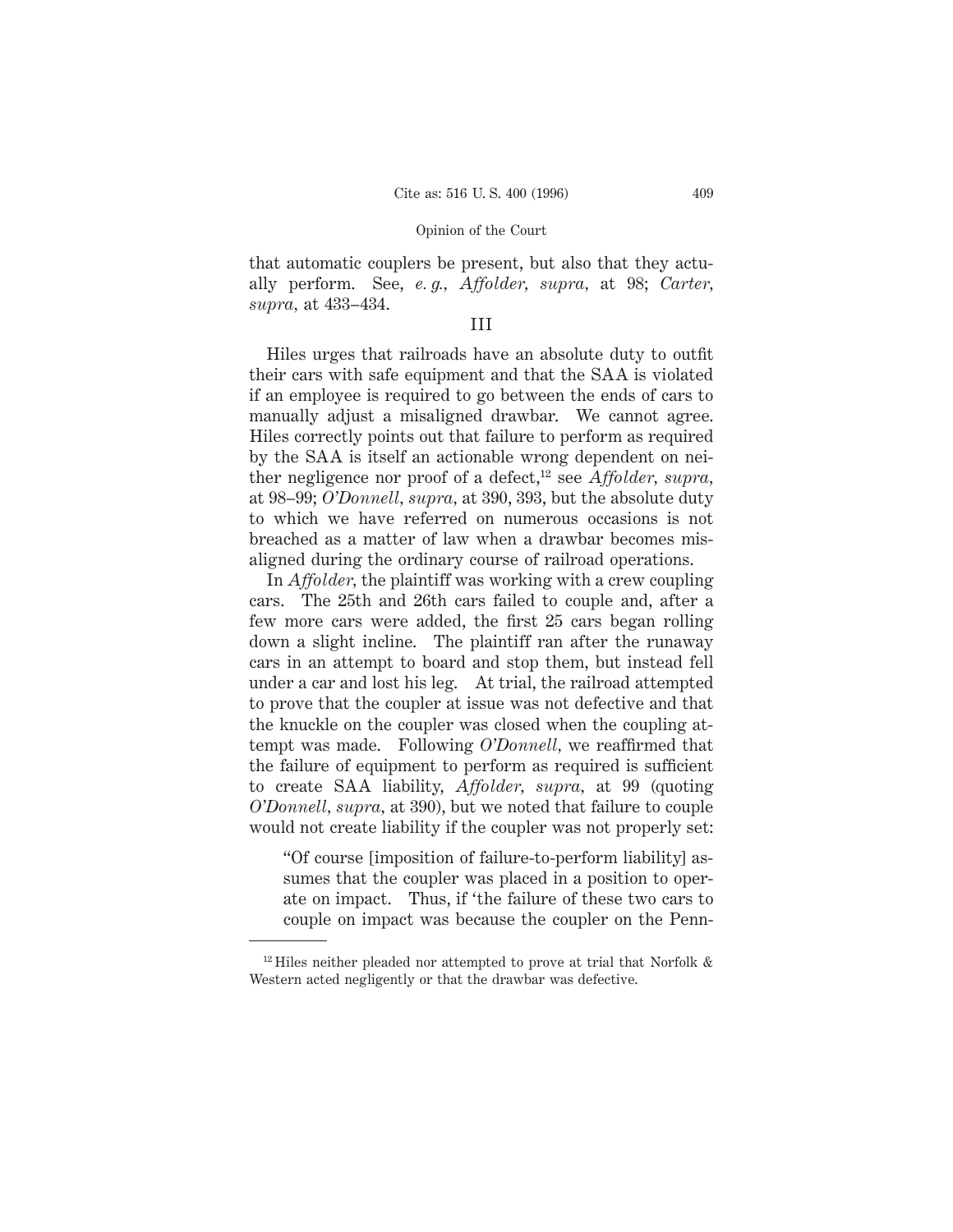that automatic couplers be present, but also that they actually perform. See, *e. g., Affolder, supra,* at 98; *Carter, supra,* at 433–434.

# III

Hiles urges that railroads have an absolute duty to outfit their cars with safe equipment and that the SAA is violated if an employee is required to go between the ends of cars to manually adjust a misaligned drawbar. We cannot agree. Hiles correctly points out that failure to perform as required by the SAA is itself an actionable wrong dependent on neither negligence nor proof of a defect,<sup>12</sup> see *Affolder, supra*, at 98–99; *O'Donnell, supra,* at 390, 393, but the absolute duty to which we have referred on numerous occasions is not breached as a matter of law when a drawbar becomes misaligned during the ordinary course of railroad operations.

In *Affolder,* the plaintiff was working with a crew coupling cars. The 25th and 26th cars failed to couple and, after a few more cars were added, the first 25 cars began rolling down a slight incline. The plaintiff ran after the runaway cars in an attempt to board and stop them, but instead fell under a car and lost his leg. At trial, the railroad attempted to prove that the coupler at issue was not defective and that the knuckle on the coupler was closed when the coupling attempt was made. Following *O'Donnell,* we reaffirmed that the failure of equipment to perform as required is sufficient to create SAA liability, *Affolder, supra,* at 99 (quoting *O'Donnell, supra,* at 390), but we noted that failure to couple would not create liability if the coupler was not properly set:

"Of course [imposition of failure-to-perform liability] assumes that the coupler was placed in a position to operate on impact. Thus, if 'the failure of these two cars to couple on impact was because the coupler on the Penn-

 $12$  Hiles neither pleaded nor attempted to prove at trial that Norfolk  $\&$ Western acted negligently or that the drawbar was defective.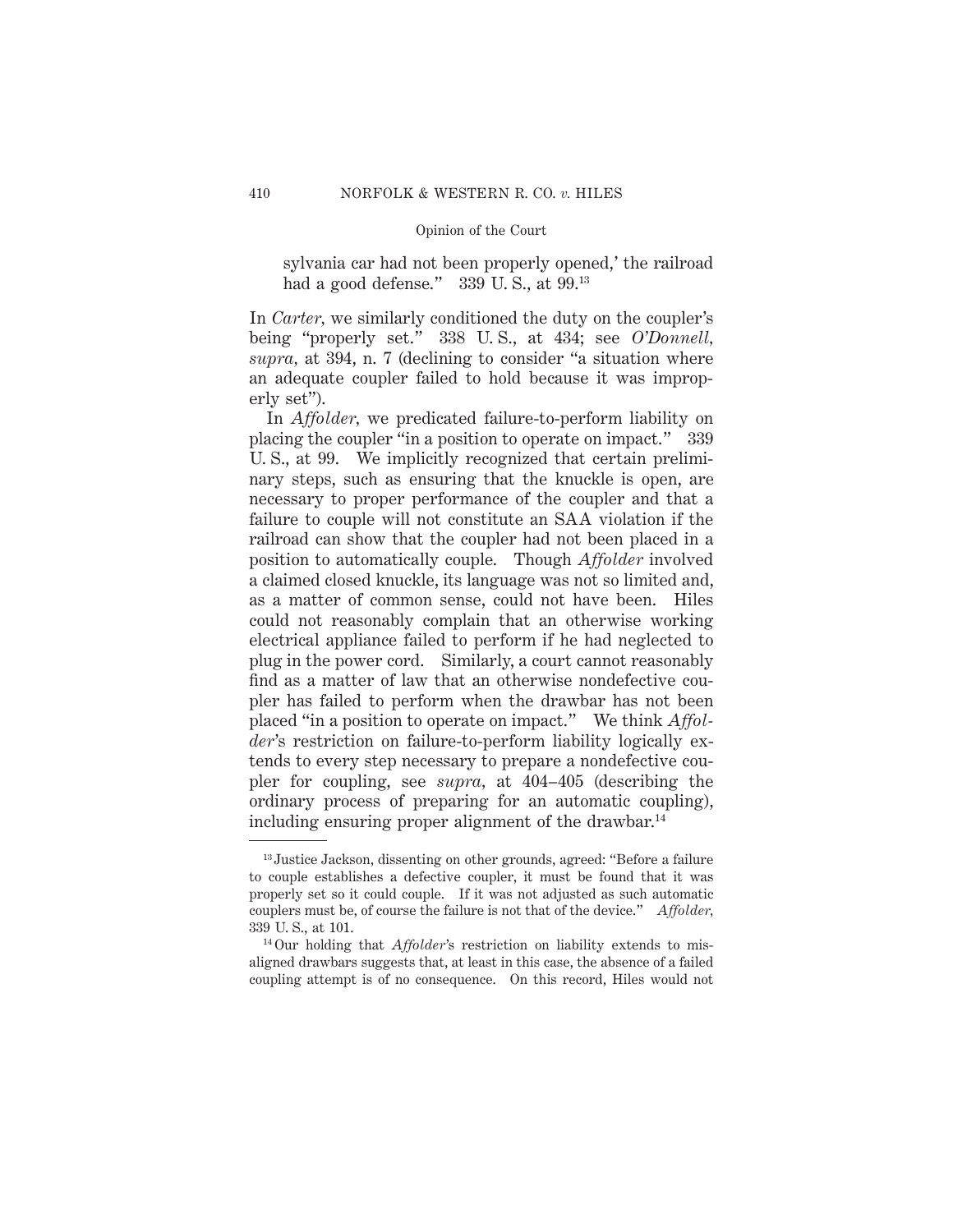sylvania car had not been properly opened,' the railroad had a good defense." 339 U.S., at 99.<sup>13</sup>

In *Carter,* we similarly conditioned the duty on the coupler's being "properly set." 338 U. S., at 434; see *O'Donnell, supra,* at 394, n. 7 (declining to consider "a situation where an adequate coupler failed to hold because it was improperly set").

In *Affolder,* we predicated failure-to-perform liability on placing the coupler "in a position to operate on impact." 339 U. S., at 99. We implicitly recognized that certain preliminary steps, such as ensuring that the knuckle is open, are necessary to proper performance of the coupler and that a failure to couple will not constitute an SAA violation if the railroad can show that the coupler had not been placed in a position to automatically couple. Though *Affolder* involved a claimed closed knuckle, its language was not so limited and, as a matter of common sense, could not have been. Hiles could not reasonably complain that an otherwise working electrical appliance failed to perform if he had neglected to plug in the power cord. Similarly, a court cannot reasonably find as a matter of law that an otherwise nondefective coupler has failed to perform when the drawbar has not been placed "in a position to operate on impact." We think *Affolder*'s restriction on failure-to-perform liability logically extends to every step necessary to prepare a nondefective coupler for coupling, see *supra,* at 404–405 (describing the ordinary process of preparing for an automatic coupling), including ensuring proper alignment of the drawbar.<sup>14</sup>

<sup>&</sup>lt;sup>13</sup> Justice Jackson, dissenting on other grounds, agreed: "Before a failure to couple establishes a defective coupler, it must be found that it was properly set so it could couple. If it was not adjusted as such automatic couplers must be, of course the failure is not that of the device." *Affolder,* 339 U. S., at 101.

<sup>14</sup> Our holding that *Affolder*'s restriction on liability extends to misaligned drawbars suggests that, at least in this case, the absence of a failed coupling attempt is of no consequence. On this record, Hiles would not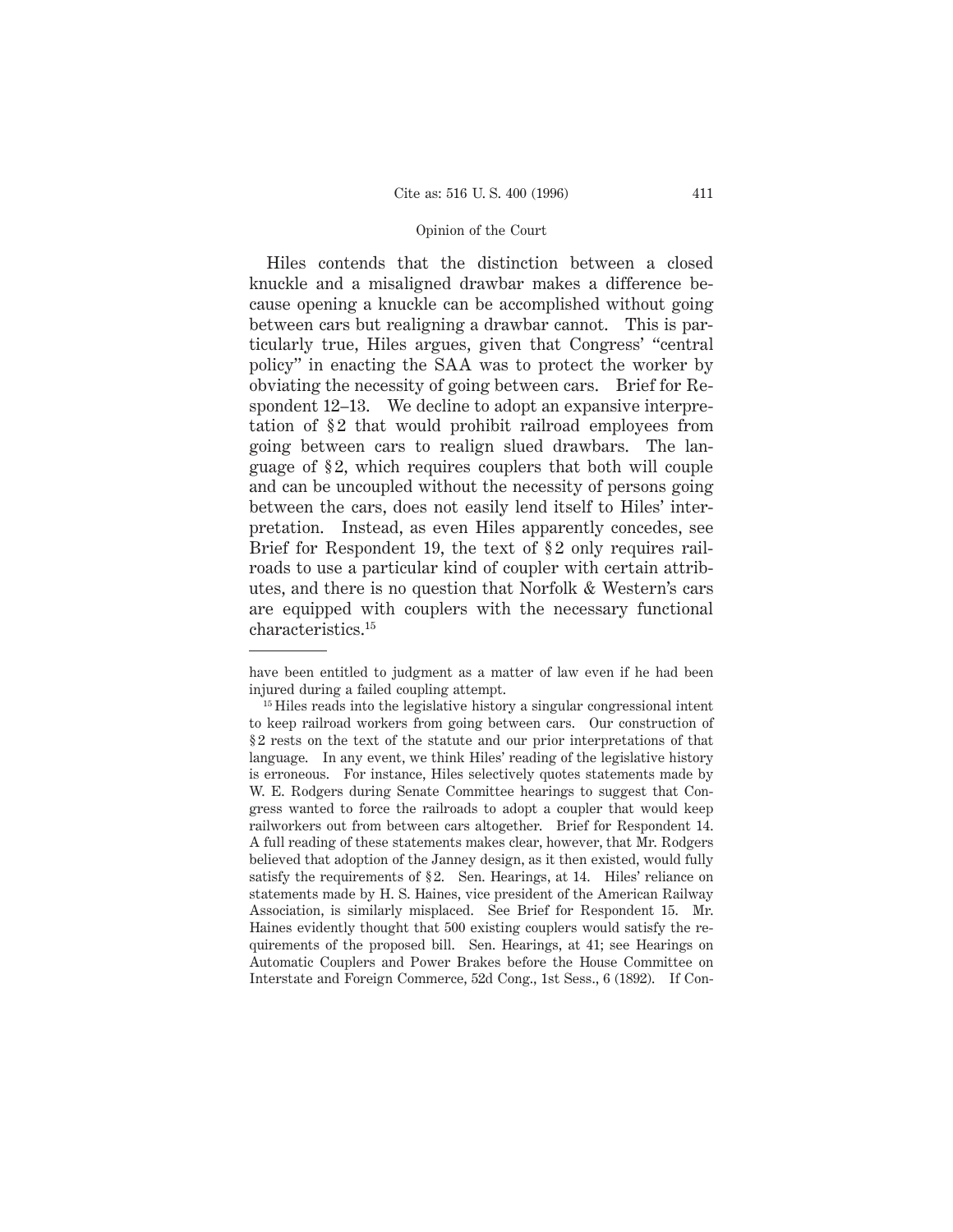Hiles contends that the distinction between a closed knuckle and a misaligned drawbar makes a difference because opening a knuckle can be accomplished without going between cars but realigning a drawbar cannot. This is particularly true, Hiles argues, given that Congress' "central policy" in enacting the SAA was to protect the worker by obviating the necessity of going between cars. Brief for Respondent 12–13. We decline to adopt an expansive interpretation of §2 that would prohibit railroad employees from going between cars to realign slued drawbars. The language of § 2, which requires couplers that both will couple and can be uncoupled without the necessity of persons going between the cars, does not easily lend itself to Hiles' interpretation. Instead, as even Hiles apparently concedes, see Brief for Respondent 19, the text of §2 only requires railroads to use a particular kind of coupler with certain attributes, and there is no question that Norfolk & Western's cars are equipped with couplers with the necessary functional characteristics.15

have been entitled to judgment as a matter of law even if he had been injured during a failed coupling attempt.

<sup>&</sup>lt;sup>15</sup> Hiles reads into the legislative history a singular congressional intent to keep railroad workers from going between cars. Our construction of § 2 rests on the text of the statute and our prior interpretations of that language. In any event, we think Hiles' reading of the legislative history is erroneous. For instance, Hiles selectively quotes statements made by W. E. Rodgers during Senate Committee hearings to suggest that Congress wanted to force the railroads to adopt a coupler that would keep railworkers out from between cars altogether. Brief for Respondent 14. A full reading of these statements makes clear, however, that Mr. Rodgers believed that adoption of the Janney design, as it then existed, would fully satisfy the requirements of §2. Sen. Hearings, at 14. Hiles' reliance on statements made by H. S. Haines, vice president of the American Railway Association, is similarly misplaced. See Brief for Respondent 15. Mr. Haines evidently thought that 500 existing couplers would satisfy the requirements of the proposed bill. Sen. Hearings, at 41; see Hearings on Automatic Couplers and Power Brakes before the House Committee on Interstate and Foreign Commerce, 52d Cong., 1st Sess., 6 (1892). If Con-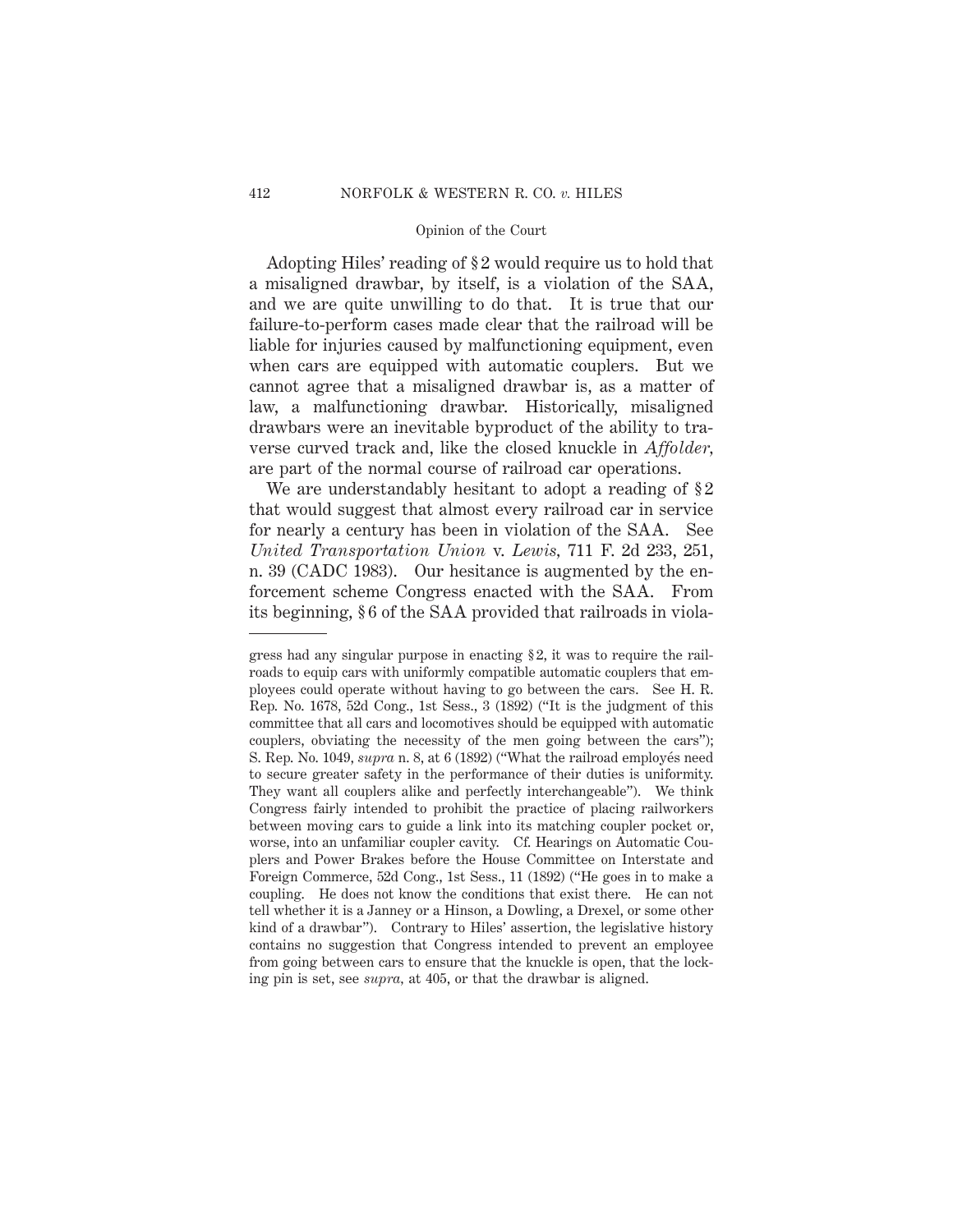Adopting Hiles' reading of § 2 would require us to hold that a misaligned drawbar, by itself, is a violation of the SAA, and we are quite unwilling to do that. It is true that our failure-to-perform cases made clear that the railroad will be liable for injuries caused by malfunctioning equipment, even when cars are equipped with automatic couplers. But we cannot agree that a misaligned drawbar is, as a matter of law, a malfunctioning drawbar. Historically, misaligned drawbars were an inevitable byproduct of the ability to traverse curved track and, like the closed knuckle in *Affolder,* are part of the normal course of railroad car operations.

We are understandably hesitant to adopt a reading of  $\S 2$ that would suggest that almost every railroad car in service for nearly a century has been in violation of the SAA. See *United Transportation Union* v. *Lewis,* 711 F. 2d 233, 251, n. 39 (CADC 1983). Our hesitance is augmented by the enforcement scheme Congress enacted with the SAA. From its beginning, § 6 of the SAA provided that railroads in viola-

gress had any singular purpose in enacting § 2, it was to require the railroads to equip cars with uniformly compatible automatic couplers that employees could operate without having to go between the cars. See H. R. Rep. No. 1678, 52d Cong., 1st Sess., 3 (1892) ("It is the judgment of this committee that all cars and locomotives should be equipped with automatic couplers, obviating the necessity of the men going between the cars"); S. Rep. No. 1049, *supra* n. 8, at 6 (1892) ("What the railroad employés need to secure greater safety in the performance of their duties is uniformity. They want all couplers alike and perfectly interchangeable"). We think Congress fairly intended to prohibit the practice of placing railworkers between moving cars to guide a link into its matching coupler pocket or, worse, into an unfamiliar coupler cavity. Cf. Hearings on Automatic Couplers and Power Brakes before the House Committee on Interstate and Foreign Commerce, 52d Cong., 1st Sess., 11 (1892) ("He goes in to make a coupling. He does not know the conditions that exist there. He can not tell whether it is a Janney or a Hinson, a Dowling, a Drexel, or some other kind of a drawbar"). Contrary to Hiles' assertion, the legislative history contains no suggestion that Congress intended to prevent an employee from going between cars to ensure that the knuckle is open, that the locking pin is set, see *supra,* at 405, or that the drawbar is aligned.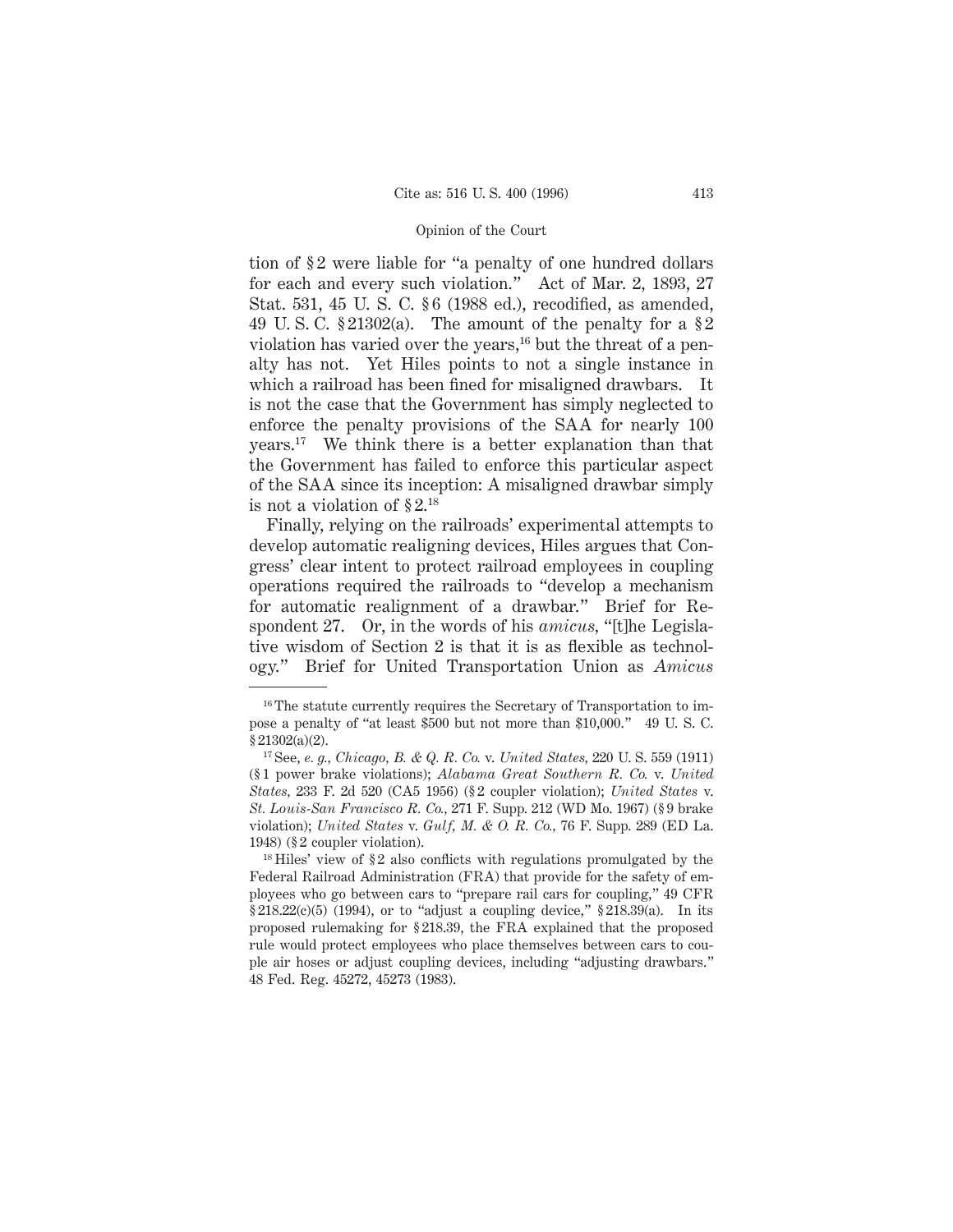tion of § 2 were liable for "a penalty of one hundred dollars for each and every such violation." Act of Mar. 2, 1893, 27 Stat. 531, 45 U. S. C. § 6 (1988 ed.), recodified, as amended, 49 U.S.C.  $\S 21302(a)$ . The amount of the penalty for a  $\S 2$ violation has varied over the years,<sup>16</sup> but the threat of a penalty has not. Yet Hiles points to not a single instance in which a railroad has been fined for misaligned drawbars. It is not the case that the Government has simply neglected to enforce the penalty provisions of the SAA for nearly 100 years.17 We think there is a better explanation than that the Government has failed to enforce this particular aspect of the SAA since its inception: A misaligned drawbar simply is not a violation of § 2.18

Finally, relying on the railroads' experimental attempts to develop automatic realigning devices, Hiles argues that Congress' clear intent to protect railroad employees in coupling operations required the railroads to "develop a mechanism for automatic realignment of a drawbar." Brief for Respondent 27. Or, in the words of his *amicus,* "[t]he Legislative wisdom of Section 2 is that it is as flexible as technology." Brief for United Transportation Union as *Amicus*

<sup>&</sup>lt;sup>16</sup> The statute currently requires the Secretary of Transportation to impose a penalty of "at least \$500 but not more than \$10,000." 49 U. S. C. § 21302(a)(2).

<sup>17</sup> See, *e. g., Chicago, B. & Q. R. Co.* v. *United States,* 220 U. S. 559 (1911) (§ 1 power brake violations); *Alabama Great Southern R. Co.* v. *United States,* 233 F. 2d 520 (CA5 1956) (§ 2 coupler violation); *United States* v. *St. Louis-San Francisco R. Co.,* 271 F. Supp. 212 (WD Mo. 1967) (§ 9 brake violation); *United States* v. *Gulf, M. & O. R. Co.,* 76 F. Supp. 289 (ED La. 1948) (§ 2 coupler violation).

 $^{18}$  Hiles' view of §2 also conflicts with regulations promulgated by the Federal Railroad Administration (FRA) that provide for the safety of employees who go between cars to "prepare rail cars for coupling," 49 CFR  $§218.22(c)(5)$  (1994), or to "adjust a coupling device,"  $§218.39(a)$ . In its proposed rulemaking for § 218.39, the FRA explained that the proposed rule would protect employees who place themselves between cars to couple air hoses or adjust coupling devices, including "adjusting drawbars." 48 Fed. Reg. 45272, 45273 (1983).